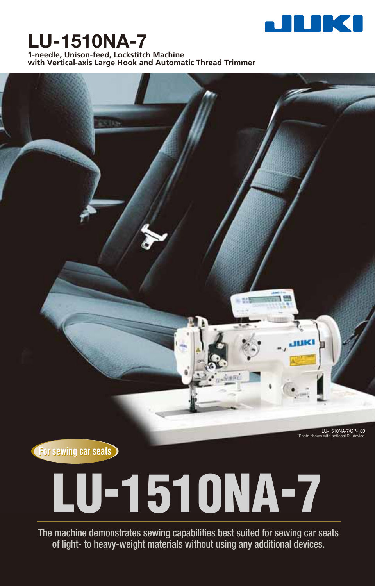

# **LU-1510NA-7**

**1-needle, Unison-feed, Lockstitch Machine with Vertical-axis Large Hook and Automatic Thread Trimmer**



LU-1510NA-7/CP-180

\*Photo shown with optional DL device.

**(For sewing car seats)** 

# **LU-1510NA-7**

The machine demonstrates sewing capabilities best suited for sewing car seats of light- to heavy-weight materials without using any additional devices.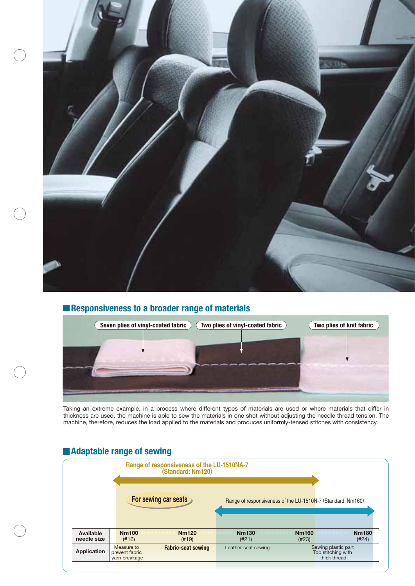

# **Responsiveness to a broader range of materials**



Taking an extreme example, in a process where different types of materials are used or where materials that differ in thickness are used, the machine is able to sew the materials in one shot without adjusting the needle thread tension. The machine, therefore, reduces the load applied to the materials and produces uniformly-tensed stitches with consistency.

# **Adaptable range of sewing**

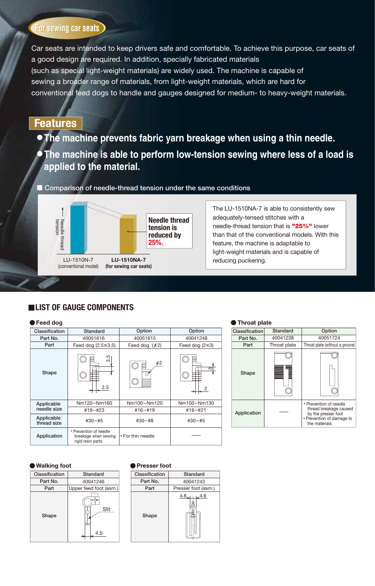# **(For sewing car seats)**

Car seats are intended to keep drivers safe and comfortable. To achieve this purpose, car seats of a good design are required. In addition, specially fabricated materials (such as special light-weight materials) are widely used. The machine is capable of sewing a broader range of materials, from light-weight materials, which are hard for conventional feed dogs to handle and gauges designed for medium- to heavy-weight materials.

# **Features**

- **The machine prevents fabric yarn breakage when using a thin needle.**
- **The machine is able to perform low-tension sewing where less of a load is applied to the material.**

**Comparison of needle-thread tension under the same conditions**



The LU-1510NA-7 is able to consistently sew adequately-tensed stitches with a needle-thread tension that is **"25%"** lower than that of the conventional models. With this feature, the machine is adaptable to light-weight materials and is capable of reducing puckering.

### **Feed dog Classification Standard Option Option Part No.** 40051616 40051615 40041248 **Part** Feed dog (2.5×3.5) Feed dog  $(\phi 2)$ Feed dog (2×3) 目  $\tilde{\vec{3}}$  $\phi$ <sub>2</sub> ო **Shape** 目 2.5 2 Nm120~Nm160 Nm100~Nm120 Nm100~Nm130 **Applicable needle size** #19~#23 #16~#19 #16~#21 **Applicable thread size**#30~#8 #30~#5 #30~#5 • Prevention of needle **Application** breakage when sewing • For thin needle — rigid resin parts

| Throat plate   |              |                                                                                                                       |  |  |  |
|----------------|--------------|-----------------------------------------------------------------------------------------------------------------------|--|--|--|
| Classification | Standard     | Option                                                                                                                |  |  |  |
| Part No.       | 40041238     | 40051724                                                                                                              |  |  |  |
| Part           | Throat plate | Throat plate (without a groove)                                                                                       |  |  |  |
| Shape          |              |                                                                                                                       |  |  |  |
| Application    |              | • Prevention of needle<br>thread breakage caused<br>by the presser foot<br>• Prevention of damage to<br>the materials |  |  |  |

# **LIST OF GAUGE COMPONENTS**

### **Walking foot Presser foot**



| Classification | Standard            |  |
|----------------|---------------------|--|
| Part No.       | 40041243            |  |
| Part           | Presser foot (asm.) |  |
| Shape          | 4.6<br>4.6          |  |